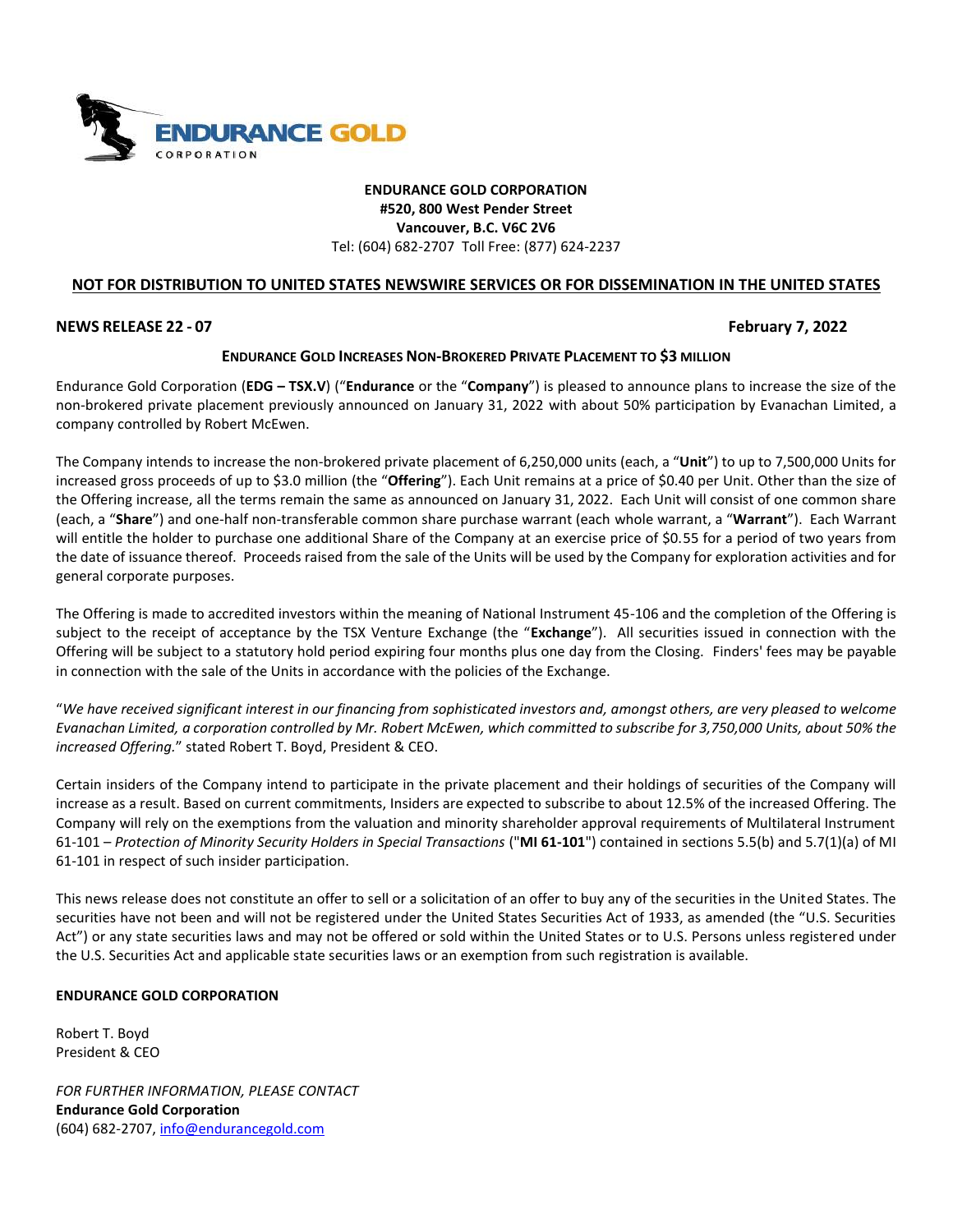

# **ENDURANCE GOLD CORPORATION #520, 800 West Pender Street Vancouver, B.C. V6C 2V6** Tel: (604) 682-2707 Toll Free: (877) 624-2237

# **NOT FOR DISTRIBUTION TO UNITED STATES NEWSWIRE SERVICES OR FOR DISSEMINATION IN THE UNITED STATES**

### **NEWS RELEASE 22 - 07 February 7, 2022**

## **ENDURANCE GOLD INCREASES NON-BROKERED PRIVATE PLACEMENT TO \$3 MILLION**

Endurance Gold Corporation (**EDG – TSX.V**) ("**Endurance** or the "**Company**") is pleased to announce plans to increase the size of the non-brokered private placement previously announced on January 31, 2022 with about 50% participation by Evanachan Limited, a company controlled by Robert McEwen.

The Company intends to increase the non-brokered private placement of 6,250,000 units (each, a "**Unit**") to up to 7,500,000 Units for increased gross proceeds of up to \$3.0 million (the "**Offering**"). Each Unit remains at a price of \$0.40 per Unit. Other than the size of the Offering increase, all the terms remain the same as announced on January 31, 2022. Each Unit will consist of one common share (each, a "**Share**") and one-half non-transferable common share purchase warrant (each whole warrant, a "**Warrant**"). Each Warrant will entitle the holder to purchase one additional Share of the Company at an exercise price of \$0.55 for a period of two years from the date of issuance thereof. Proceeds raised from the sale of the Units will be used by the Company for exploration activities and for general corporate purposes.

The Offering is made to accredited investors within the meaning of National Instrument 45-106 and the completion of the Offering is subject to the receipt of acceptance by the TSX Venture Exchange (the "**Exchange**"). All securities issued in connection with the Offering will be subject to a statutory hold period expiring four months plus one day from the Closing. Finders' fees may be payable in connection with the sale of the Units in accordance with the policies of the Exchange.

"*We have received significant interest in our financing from sophisticated investors and, amongst others, are very pleased to welcome Evanachan Limited, a corporation controlled by Mr. Robert McEwen, which committed to subscribe for 3,750,000 Units, about 50% the increased Offering.*" stated Robert T. Boyd, President & CEO.

Certain insiders of the Company intend to participate in the private placement and their holdings of securities of the Company will increase as a result. Based on current commitments, Insiders are expected to subscribe to about 12.5% of the increased Offering. The Company will rely on the exemptions from the valuation and minority shareholder approval requirements of Multilateral Instrument 61-101 – *Protection of Minority Security Holders in Special Transactions* ("**MI 61-101**") contained in sections 5.5(b) and 5.7(1)(a) of MI 61-101 in respect of such insider participation.

This news release does not constitute an offer to sell or a solicitation of an offer to buy any of the securities in the United States. The securities have not been and will not be registered under the United States Securities Act of 1933, as amended (the "U.S. Securities Act") or any state securities laws and may not be offered or sold within the United States or to U.S. Persons unless registered under the U.S. Securities Act and applicable state securities laws or an exemption from such registration is available.

### **ENDURANCE GOLD CORPORATION**

Robert T. Boyd President & CEO

*FOR FURTHER INFORMATION, PLEASE CONTACT* **Endurance Gold Corporation** (604) 682-2707, [info@endurancegold.com](mailto:info@endurancegold.com)